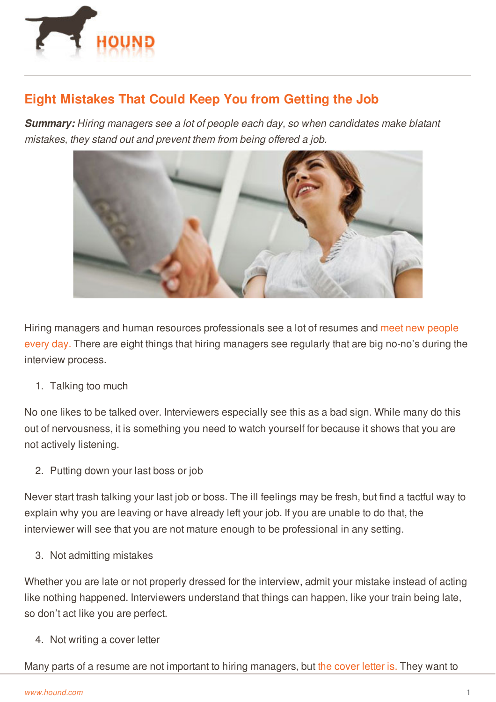

## **Eight Mistakes That Could Keep You from Getting the Job**

*Summary: Hiring managers see a lot of people each day, so when candidates make blatant mistakes, they stand out and prevent them from being offered a job.*



Hiring managers and human resources [professionals](http://www.hound.com/article/900045193/How-to-Make-a-Positive-First-Impression/) see a lot of resumes and meet new people every day. There are eight things that hiring managers see regularly that are big no-no's during the interview process.

1. Talking too much

No one likes to be talked over. Interviewers especially see this as a bad sign. While many do this out of nervousness, it is something you need to watch yourself for because it shows that you are not actively listening.

2. Putting down your last boss or job

Never start trash talking your last job or boss. The ill feelings may be fresh, but find a tactful way to explain why you are leaving or have already left your job. If you are unable to do that, the interviewer will see that you are not mature enough to be professional in any setting.

3. Not admitting mistakes

Whether you are late or not properly dressed for the interview, admit your mistake instead of acting like nothing happened. Interviewers understand that things can happen, like your train being late, so [don't](http://www.hound.com/) act like you are perfect.

4. Not writing a cover letter

Many parts of a resume are not important to hiring managers, but the [cover](http://www.hound.com/article/900045943/Tips-for-Writing-a-Memorable-Cover-Letter/) letter is. They want to